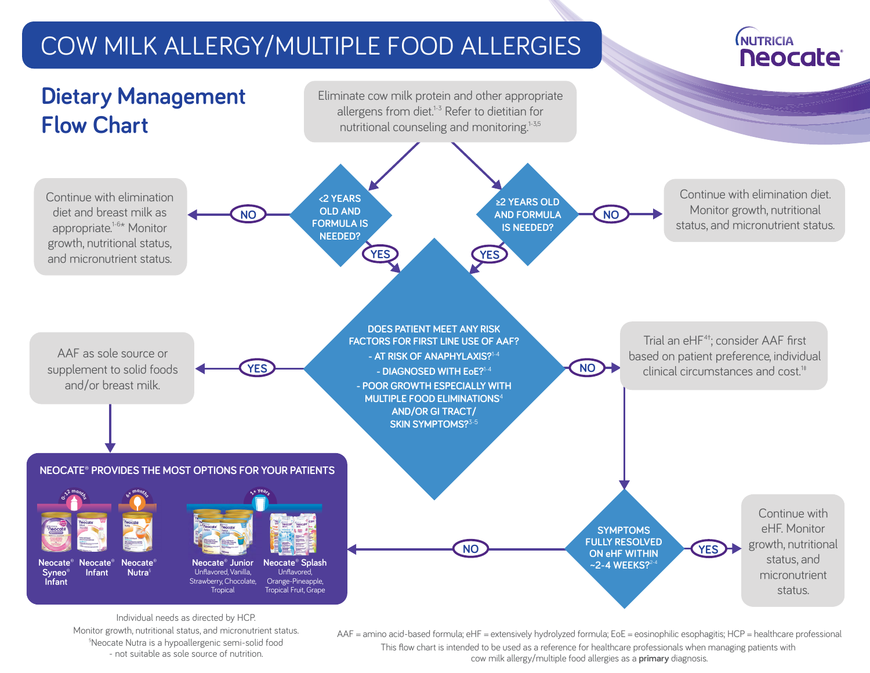## COW MILK ALLERGY/MULTIPLE FOOD ALLERGIES

## **NUTRICIA Neocate**



Individual needs as directed by HCP. Monitor growth, nutritional status, and micronutrient status. § Neocate Nutra is a hypoallergenic semi-solid food - not suitable as sole source of nutrition.

AAF = amino acid-based formula; eHF = extensively hydrolyzed formula; EoE = eosinophilic esophagitis; HCP = healthcare professional This flow chart is intended to be used as a reference for healthcare professionals when managing patients with cow milk allergy/multiple food allergies as a **primary** diagnosis.